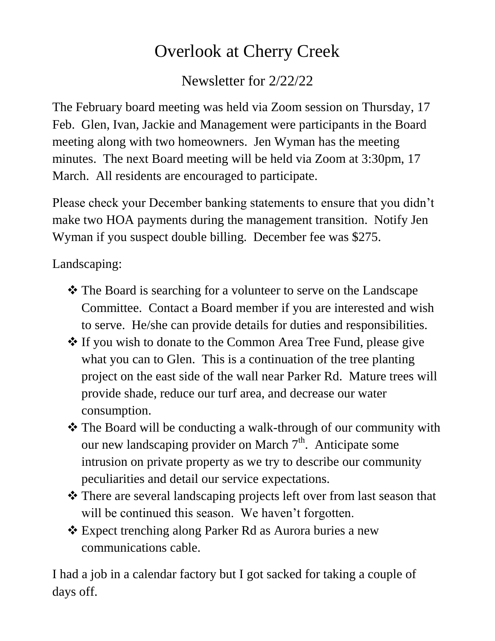## Overlook at Cherry Creek

Newsletter for 2/22/22

The February board meeting was held via Zoom session on Thursday, 17 Feb. Glen, Ivan, Jackie and Management were participants in the Board meeting along with two homeowners. Jen Wyman has the meeting minutes. The next Board meeting will be held via Zoom at 3:30pm, 17 March. All residents are encouraged to participate.

Please check your December banking statements to ensure that you didn't make two HOA payments during the management transition. Notify Jen Wyman if you suspect double billing. December fee was \$275.

Landscaping:

- The Board is searching for a volunteer to serve on the Landscape Committee. Contact a Board member if you are interested and wish to serve. He/she can provide details for duties and responsibilities.
- $\triangle$  If you wish to donate to the Common Area Tree Fund, please give what you can to Glen. This is a continuation of the tree planting project on the east side of the wall near Parker Rd. Mature trees will provide shade, reduce our turf area, and decrease our water consumption.
- The Board will be conducting a walk-through of our community with our new landscaping provider on March  $7<sup>th</sup>$ . Anticipate some intrusion on private property as we try to describe our community peculiarities and detail our service expectations.
- There are several landscaping projects left over from last season that will be continued this season. We haven't forgotten.
- Expect trenching along Parker Rd as Aurora buries a new communications cable.

I had a job in a calendar factory but I got sacked for taking a couple of days off.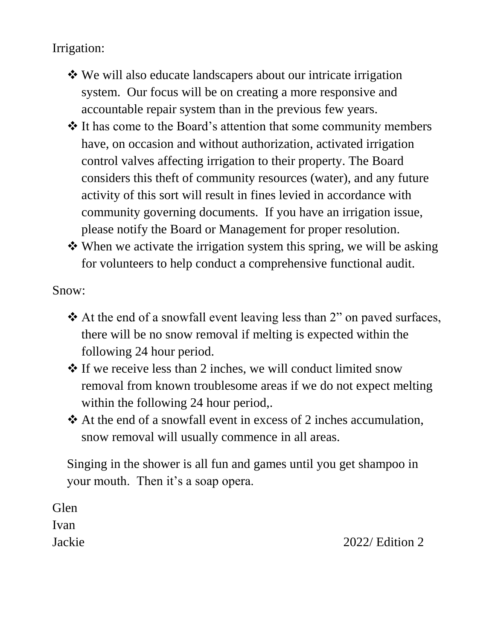Irrigation:

- We will also educate landscapers about our intricate irrigation system. Our focus will be on creating a more responsive and accountable repair system than in the previous few years.
- It has come to the Board's attention that some community members have, on occasion and without authorization, activated irrigation control valves affecting irrigation to their property. The Board considers this theft of community resources (water), and any future activity of this sort will result in fines levied in accordance with community governing documents. If you have an irrigation issue, please notify the Board or Management for proper resolution.
- $\triangle$  When we activate the irrigation system this spring, we will be asking for volunteers to help conduct a comprehensive functional audit.

Snow:

- $\triangle$  At the end of a snowfall event leaving less than 2" on paved surfaces, there will be no snow removal if melting is expected within the following 24 hour period.
- $\triangle$  If we receive less than 2 inches, we will conduct limited snow removal from known troublesome areas if we do not expect melting within the following 24 hour period,.
- At the end of a snowfall event in excess of 2 inches accumulation, snow removal will usually commence in all areas.

Singing in the shower is all fun and games until you get shampoo in your mouth. Then it's a soap opera.

**Glen** Ivan

Jackie 2022/ Edition 2